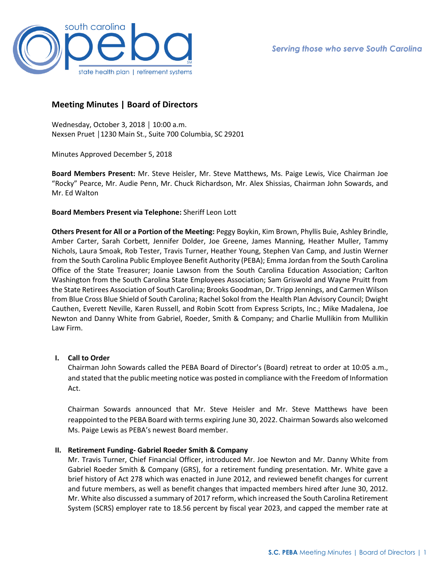

# **Meeting Minutes | Board of Directors**

Wednesday, October 3, 2018 │ 10:00 a.m. Nexsen Pruet │1230 Main St., Suite 700 Columbia, SC 29201

Minutes Approved December 5, 2018

**Board Members Present:** Mr. Steve Heisler, Mr. Steve Matthews, Ms. Paige Lewis, Vice Chairman Joe "Rocky" Pearce, Mr. Audie Penn, Mr. Chuck Richardson, Mr. Alex Shissias, Chairman John Sowards, and Mr. Ed Walton

### **Board Members Present via Telephone:** Sheriff Leon Lott

**Others Present for All or a Portion of the Meeting:** Peggy Boykin, Kim Brown, Phyllis Buie, Ashley Brindle, Amber Carter, Sarah Corbett, Jennifer Dolder, Joe Greene, James Manning, Heather Muller, Tammy Nichols, Laura Smoak, Rob Tester, Travis Turner, Heather Young, Stephen Van Camp, and Justin Werner from the South Carolina Public Employee Benefit Authority (PEBA); Emma Jordan from the South Carolina Office of the State Treasurer; Joanie Lawson from the South Carolina Education Association; Carlton Washington from the South Carolina State Employees Association; Sam Griswold and Wayne Pruitt from the State Retirees Association of South Carolina; Brooks Goodman, Dr. Tripp Jennings, and Carmen Wilson from Blue Cross Blue Shield of South Carolina; Rachel Sokol from the Health Plan Advisory Council; Dwight Cauthen, Everett Neville, Karen Russell, and Robin Scott from Express Scripts, Inc.; Mike Madalena, Joe Newton and Danny White from Gabriel, Roeder, Smith & Company; and Charlie Mullikin from Mullikin Law Firm.

## **I. Call to Order**

Chairman John Sowards called the PEBA Board of Director's (Board) retreat to order at 10:05 a.m., and stated that the public meeting notice was posted in compliance with the Freedom of Information Act.

Chairman Sowards announced that Mr. Steve Heisler and Mr. Steve Matthews have been reappointed to the PEBA Board with terms expiring June 30, 2022. Chairman Sowards also welcomed Ms. Paige Lewis as PEBA's newest Board member.

#### **II. Retirement Funding- Gabriel Roeder Smith & Company**

Mr. Travis Turner, Chief Financial Officer, introduced Mr. Joe Newton and Mr. Danny White from Gabriel Roeder Smith & Company (GRS), for a retirement funding presentation. Mr. White gave a brief history of Act 278 which was enacted in June 2012, and reviewed benefit changes for current and future members, as well as benefit changes that impacted members hired after June 30, 2012. Mr. White also discussed a summary of 2017 reform, which increased the South Carolina Retirement System (SCRS) employer rate to 18.56 percent by fiscal year 2023, and capped the member rate at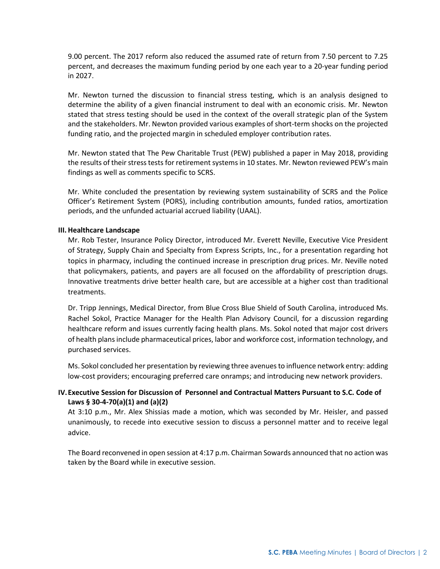9.00 percent. The 2017 reform also reduced the assumed rate of return from 7.50 percent to 7.25 percent, and decreases the maximum funding period by one each year to a 20-year funding period in 2027.

Mr. Newton turned the discussion to financial stress testing, which is an analysis designed to determine the ability of a given financial instrument to deal with an economic crisis. Mr. Newton stated that stress testing should be used in the context of the overall strategic plan of the System and the stakeholders. Mr. Newton provided various examples of short-term shocks on the projected funding ratio, and the projected margin in scheduled employer contribution rates.

Mr. Newton stated that The Pew Charitable Trust (PEW) published a paper in May 2018, providing the results of their stress tests for retirement systems in 10 states. Mr. Newton reviewed PEW's main findings as well as comments specific to SCRS.

Mr. White concluded the presentation by reviewing system sustainability of SCRS and the Police Officer's Retirement System (PORS), including contribution amounts, funded ratios, amortization periods, and the unfunded actuarial accrued liability (UAAL).

### **III. Healthcare Landscape**

Mr. Rob Tester, Insurance Policy Director, introduced Mr. Everett Neville, Executive Vice President of Strategy, Supply Chain and Specialty from Express Scripts, Inc., for a presentation regarding hot topics in pharmacy, including the continued increase in prescription drug prices. Mr. Neville noted that policymakers, patients, and payers are all focused on the affordability of prescription drugs. Innovative treatments drive better health care, but are accessible at a higher cost than traditional treatments.

Dr. Tripp Jennings, Medical Director, from Blue Cross Blue Shield of South Carolina, introduced Ms. Rachel Sokol, Practice Manager for the Health Plan Advisory Council, for a discussion regarding healthcare reform and issues currently facing health plans. Ms. Sokol noted that major cost drivers of health plans include pharmaceutical prices, labor and workforce cost, information technology, and purchased services.

Ms. Sokol concluded her presentation by reviewing three avenues to influence network entry: adding low-cost providers; encouraging preferred care onramps; and introducing new network providers.

# **IV.Executive Session for Discussion of Personnel and Contractual Matters Pursuant to S.C. Code of Laws § 30-4-70(a)(1) and (a)(2)**

At 3:10 p.m., Mr. Alex Shissias made a motion, which was seconded by Mr. Heisler, and passed unanimously, to recede into executive session to discuss a personnel matter and to receive legal advice.

The Board reconvened in open session at 4:17 p.m. Chairman Sowards announced that no action was taken by the Board while in executive session.